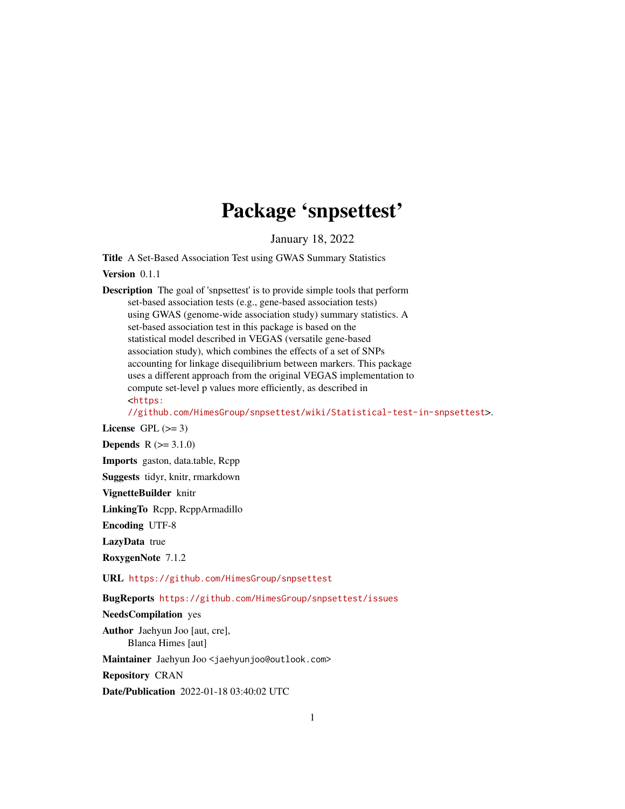# Package 'snpsettest'

January 18, 2022

<span id="page-0-0"></span>Title A Set-Based Association Test using GWAS Summary Statistics

Version 0.1.1

Description The goal of 'snpsettest' is to provide simple tools that perform set-based association tests (e.g., gene-based association tests) using GWAS (genome-wide association study) summary statistics. A set-based association test in this package is based on the statistical model described in VEGAS (versatile gene-based association study), which combines the effects of a set of SNPs accounting for linkage disequilibrium between markers. This package uses a different approach from the original VEGAS implementation to compute set-level p values more efficiently, as described in <[https:](https://github.com/HimesGroup/snpsettest/wiki/Statistical-test-in-snpsettest)

[//github.com/HimesGroup/snpsettest/wiki/Statistical-test-in-snpsettest](https://github.com/HimesGroup/snpsettest/wiki/Statistical-test-in-snpsettest)>.

License GPL  $(>= 3)$ 

**Depends**  $R (= 3.1.0)$ 

Imports gaston, data.table, Rcpp

Suggests tidyr, knitr, rmarkdown

VignetteBuilder knitr

LinkingTo Rcpp, RcppArmadillo

Encoding UTF-8

LazyData true

RoxygenNote 7.1.2

URL <https://github.com/HimesGroup/snpsettest>

BugReports <https://github.com/HimesGroup/snpsettest/issues>

NeedsCompilation yes

Author Jaehyun Joo [aut, cre], Blanca Himes [aut]

Maintainer Jaehyun Joo <jaehyunjoo@outlook.com>

Repository CRAN

Date/Publication 2022-01-18 03:40:02 UTC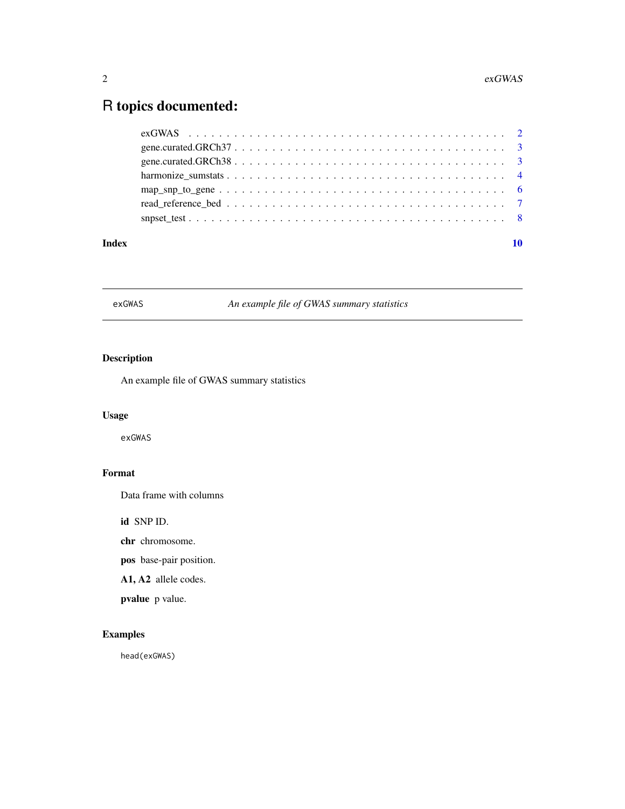## <span id="page-1-0"></span>R topics documented:

| Index |  |
|-------|--|
|       |  |
|       |  |
|       |  |
|       |  |
|       |  |
|       |  |
|       |  |

exGWAS *An example file of GWAS summary statistics*

#### Description

An example file of GWAS summary statistics

### Usage

exGWAS

#### Format

Data frame with columns

id SNP ID.

chr chromosome.

pos base-pair position.

A1, A2 allele codes.

pvalue p value.

#### Examples

head(exGWAS)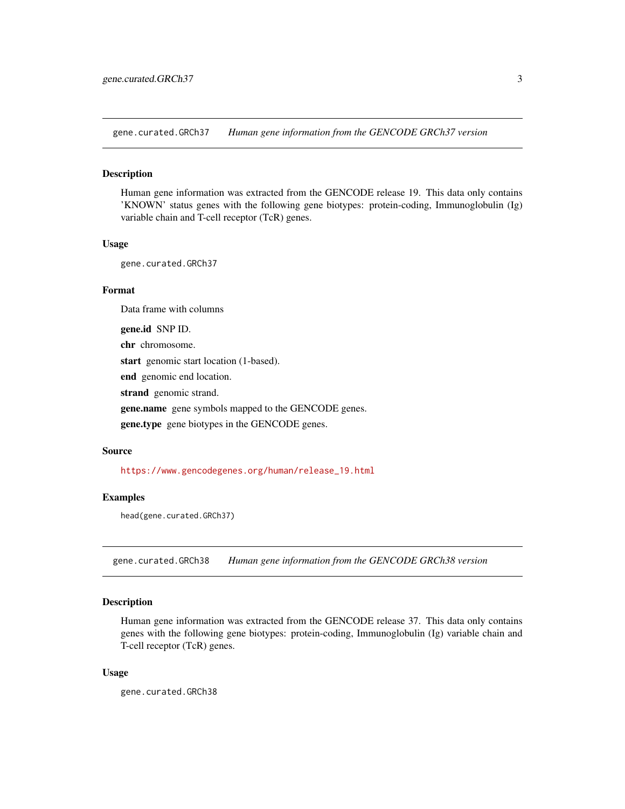<span id="page-2-0"></span>gene.curated.GRCh37 *Human gene information from the GENCODE GRCh37 version*

#### Description

Human gene information was extracted from the GENCODE release 19. This data only contains 'KNOWN' status genes with the following gene biotypes: protein-coding, Immunoglobulin (Ig) variable chain and T-cell receptor (TcR) genes.

#### Usage

gene.curated.GRCh37

#### Format

Data frame with columns

gene.id SNP ID.

chr chromosome.

start genomic start location (1-based).

end genomic end location.

strand genomic strand.

gene.name gene symbols mapped to the GENCODE genes.

gene.type gene biotypes in the GENCODE genes.

#### Source

[https://www.gencodegenes.org/human/release\\_19.html](https://www.gencodegenes.org/human/release_19.html)

#### Examples

head(gene.curated.GRCh37)

gene.curated.GRCh38 *Human gene information from the GENCODE GRCh38 version*

#### Description

Human gene information was extracted from the GENCODE release 37. This data only contains genes with the following gene biotypes: protein-coding, Immunoglobulin (Ig) variable chain and T-cell receptor (TcR) genes.

#### Usage

gene.curated.GRCh38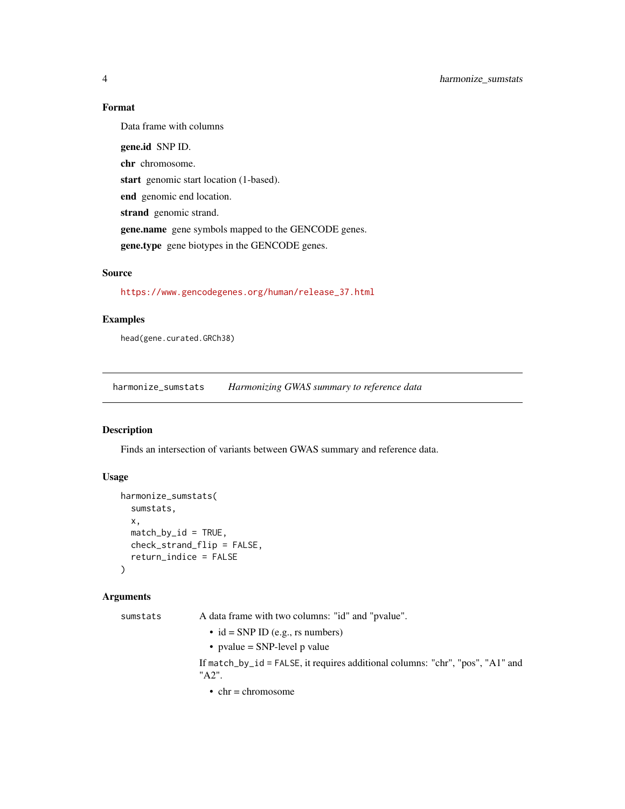#### Format

Data frame with columns

gene.id SNP ID. chr chromosome. start genomic start location (1-based). end genomic end location. strand genomic strand. gene.name gene symbols mapped to the GENCODE genes. gene.type gene biotypes in the GENCODE genes.

#### Source

[https://www.gencodegenes.org/human/release\\_37.html](https://www.gencodegenes.org/human/release_37.html)

#### Examples

head(gene.curated.GRCh38)

<span id="page-3-1"></span>harmonize\_sumstats *Harmonizing GWAS summary to reference data*

#### Description

Finds an intersection of variants between GWAS summary and reference data.

#### Usage

```
harmonize_sumstats(
  sumstats,
  x,
 match_by_id = TRUE,check_strand_flip = FALSE,
  return_indice = FALSE
\lambda
```
#### Arguments

| sumstats | A data frame with two columns: "id" and "pvalue".                                       |
|----------|-----------------------------------------------------------------------------------------|
|          | • id = SNP ID (e.g., rs numbers)                                                        |
|          | • pvalue = SNP-level p value                                                            |
|          | If match_by_id = FALSE, it requires additional columns: "chr", "pos", "A1" and<br>"A2". |
|          | $\bullet$ chr = chromosome                                                              |

<span id="page-3-0"></span>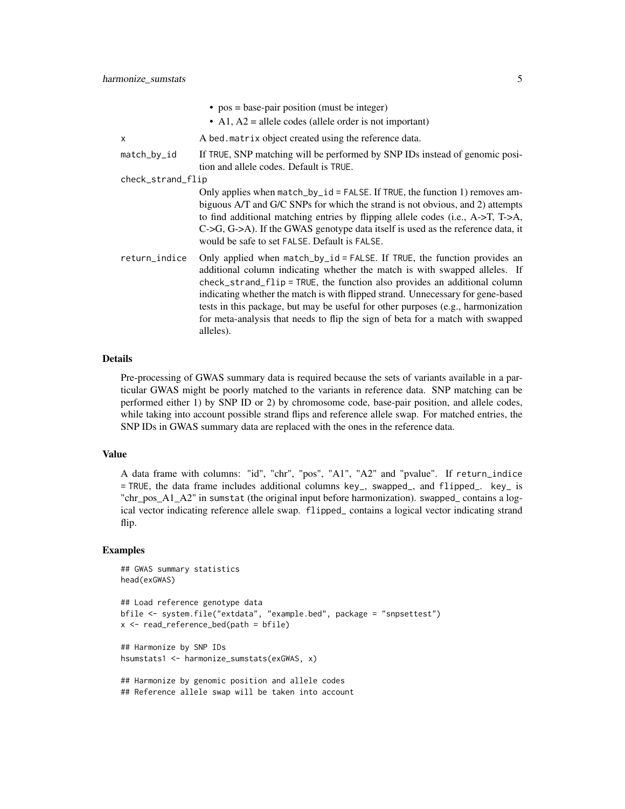|                   | • $pos = base-pair position (must be integer)$                                                                                                                                                                                                                                                                                                                                                                                                                                                            |
|-------------------|-----------------------------------------------------------------------------------------------------------------------------------------------------------------------------------------------------------------------------------------------------------------------------------------------------------------------------------------------------------------------------------------------------------------------------------------------------------------------------------------------------------|
|                   | • A1, $A2$ = allele codes (allele order is not important)                                                                                                                                                                                                                                                                                                                                                                                                                                                 |
| X                 | A bed. matrix object created using the reference data.                                                                                                                                                                                                                                                                                                                                                                                                                                                    |
| match_by_id       | If TRUE, SNP matching will be performed by SNP IDs instead of genomic posi-<br>tion and allele codes. Default is TRUE.                                                                                                                                                                                                                                                                                                                                                                                    |
| check_strand_flip |                                                                                                                                                                                                                                                                                                                                                                                                                                                                                                           |
|                   | Only applies when match_by_id = FALSE. If TRUE, the function 1) removes am-<br>biguous A/T and G/C SNPs for which the strand is not obvious, and 2) attempts<br>to find additional matching entries by flipping allele codes (i.e., A->T, T->A,<br>$C \rightarrow G, G \rightarrow A$ ). If the GWAS genotype data itself is used as the reference data, it<br>would be safe to set FALSE. Default is FALSE.                                                                                              |
| return_indice     | Only applied when match_by_id = FALSE. If TRUE, the function provides an<br>additional column indicating whether the match is with swapped alleles. If<br>check_strand_flip = TRUE, the function also provides an additional column<br>indicating whether the match is with flipped strand. Unnecessary for gene-based<br>tests in this package, but may be useful for other purposes (e.g., harmonization<br>for meta-analysis that needs to flip the sign of beta for a match with swapped<br>alleles). |

#### Details

Pre-processing of GWAS summary data is required because the sets of variants available in a particular GWAS might be poorly matched to the variants in reference data. SNP matching can be performed either 1) by SNP ID or 2) by chromosome code, base-pair position, and allele codes, while taking into account possible strand flips and reference allele swap. For matched entries, the SNP IDs in GWAS summary data are replaced with the ones in the reference data.

#### Value

A data frame with columns: "id", "chr", "pos", "A1", "A2" and "pvalue". If return\_indice = TRUE, the data frame includes additional columns key\_, swapped\_, and flipped\_. key\_ is "chr\_pos\_A1\_A2" in sumstat (the original input before harmonization). swapped\_ contains a logical vector indicating reference allele swap. flipped\_ contains a logical vector indicating strand flip.

#### Examples

```
## GWAS summary statistics
head(exGWAS)
## Load reference genotype data
bfile <- system.file("extdata", "example.bed", package = "snpsettest")
x <- read_reference_bed(path = bfile)
## Harmonize by SNP IDs
hsumstats1 <- harmonize_sumstats(exGWAS, x)
## Harmonize by genomic position and allele codes
## Reference allele swap will be taken into account
```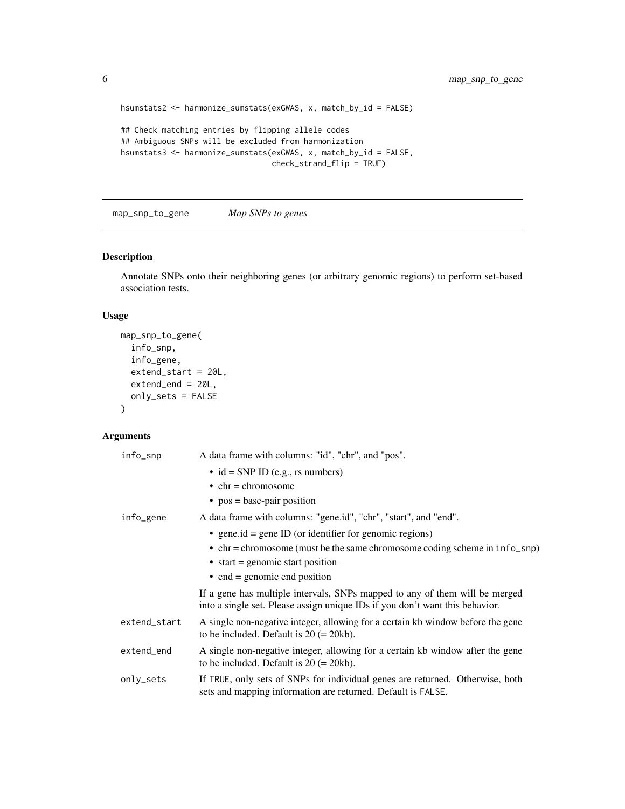```
hsumstats2 <- harmonize_sumstats(exGWAS, x, match_by_id = FALSE)
## Check matching entries by flipping allele codes
## Ambiguous SNPs will be excluded from harmonization
hsumstats3 <- harmonize_sumstats(exGWAS, x, match_by_id = FALSE,
                                 check_strand_flip = TRUE)
```
map\_snp\_to\_gene *Map SNPs to genes*

#### Description

Annotate SNPs onto their neighboring genes (or arbitrary genomic regions) to perform set-based association tests.

#### Usage

```
map_snp_to_gene(
  info_snp,
  info_gene,
  extend_start = 20L,
  extend_end = 20L,
  only_sets = FALSE
)
```
#### Arguments

| info_snp     | A data frame with columns: "id", "chr", and "pos".                                                                                                          |
|--------------|-------------------------------------------------------------------------------------------------------------------------------------------------------------|
|              | $\bullet$ id = SNP ID (e.g., rs numbers)                                                                                                                    |
|              | $\bullet$ chr = chromosome                                                                                                                                  |
|              | • $pos = base-pair position$                                                                                                                                |
| info_gene    | A data frame with columns: "gene.id", "chr", "start", and "end".                                                                                            |
|              | • general $=$ general D (or identifier for genomic regions)                                                                                                 |
|              | $\bullet$ chr = chromosome (must be the same chromosome coding scheme in $info_sp$ )                                                                        |
|              | $\bullet$ start = genomic start position                                                                                                                    |
|              | $\bullet$ end = genomic end position                                                                                                                        |
|              | If a gene has multiple intervals, SNPs mapped to any of them will be merged<br>into a single set. Please assign unique IDs if you don't want this behavior. |
| extend_start | A single non-negative integer, allowing for a certain kb window before the gene<br>to be included. Default is $20 (= 20kb)$ .                               |
| extend_end   | A single non-negative integer, allowing for a certain kb window after the gene<br>to be included. Default is $20 (= 20kb)$ .                                |
| only_sets    | If TRUE, only sets of SNPs for individual genes are returned. Otherwise, both<br>sets and mapping information are returned. Default is FALSE.               |
|              |                                                                                                                                                             |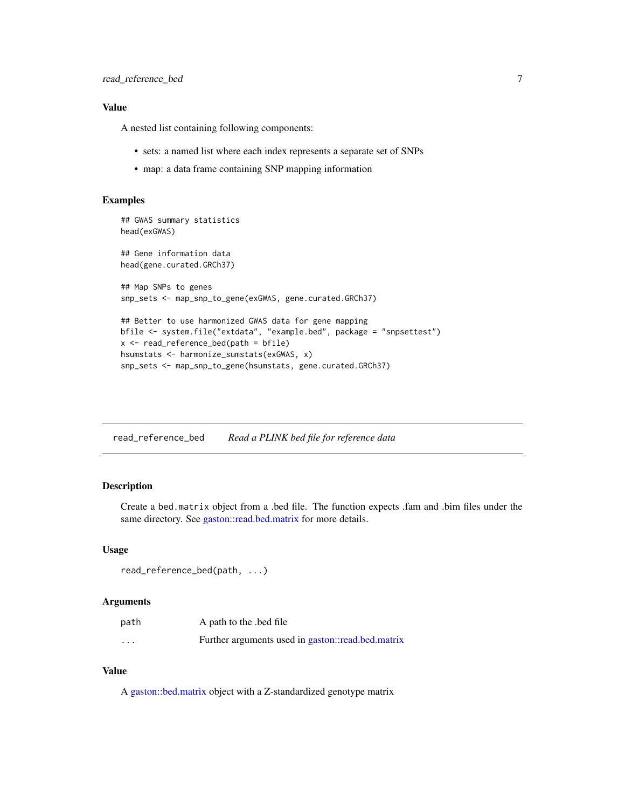#### <span id="page-6-0"></span>Value

A nested list containing following components:

- sets: a named list where each index represents a separate set of SNPs
- map: a data frame containing SNP mapping information

#### Examples

```
## GWAS summary statistics
head(exGWAS)
## Gene information data
head(gene.curated.GRCh37)
## Map SNPs to genes
snp_sets <- map_snp_to_gene(exGWAS, gene.curated.GRCh37)
## Better to use harmonized GWAS data for gene mapping
bfile <- system.file("extdata", "example.bed", package = "snpsettest")
x <- read_reference_bed(path = bfile)
hsumstats <- harmonize_sumstats(exGWAS, x)
snp_sets <- map_snp_to_gene(hsumstats, gene.curated.GRCh37)
```
read\_reference\_bed *Read a PLINK bed file for reference data*

#### Description

Create a bed.matrix object from a .bed file. The function expects .fam and .bim files under the same directory. See [gaston::read.bed.matrix](#page-0-0) for more details.

#### Usage

read\_reference\_bed(path, ...)

#### Arguments

| path     | A path to the bed file                            |
|----------|---------------------------------------------------|
| $\cdots$ | Further arguments used in gaston::read.bed.matrix |

#### Value

A [gaston::bed.matrix](#page-0-0) object with a Z-standardized genotype matrix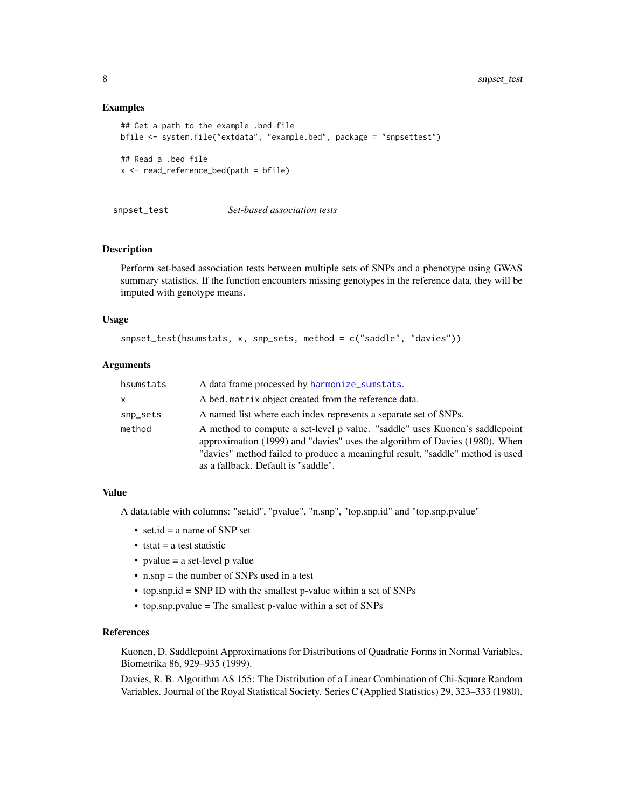#### Examples

```
## Get a path to the example .bed file
bfile <- system.file("extdata", "example.bed", package = "snpsettest")
## Read a .bed file
x <- read_reference_bed(path = bfile)
```
snpset\_test *Set-based association tests*

#### Description

Perform set-based association tests between multiple sets of SNPs and a phenotype using GWAS summary statistics. If the function encounters missing genotypes in the reference data, they will be imputed with genotype means.

#### Usage

```
snpset_test(hsumstats, x, snp_sets, method = c("saddle", "davies"))
```
#### Arguments

| hsumstats | A data frame processed by harmonize_sumstats.                                                                                                                                                                                                                                       |
|-----------|-------------------------------------------------------------------------------------------------------------------------------------------------------------------------------------------------------------------------------------------------------------------------------------|
| x         | A bed matrix object created from the reference data.                                                                                                                                                                                                                                |
| snp_sets  | A named list where each index represents a separate set of SNPs.                                                                                                                                                                                                                    |
| method    | A method to compute a set-level p value. "saddle" uses Kuonen's saddlepoint<br>approximation (1999) and "davies" uses the algorithm of Davies (1980). When<br>"davies" method failed to produce a meaningful result, "saddle" method is used<br>as a fallback. Default is "saddle". |

#### Value

A data.table with columns: "set.id", "pvalue", "n.snp", "top.snp.id" and "top.snp.pvalue"

- set.id = a name of SNP set
- $\bullet$  tstat = a test statistic
- pvalue  $=$  a set-level p value
- n.snp = the number of SNPs used in a test
- top.snp.id = SNP ID with the smallest p-value within a set of SNPs
- top.snp.pvalue = The smallest p-value within a set of SNPs

#### References

Kuonen, D. Saddlepoint Approximations for Distributions of Quadratic Forms in Normal Variables. Biometrika 86, 929–935 (1999).

Davies, R. B. Algorithm AS 155: The Distribution of a Linear Combination of Chi-Square Random Variables. Journal of the Royal Statistical Society. Series C (Applied Statistics) 29, 323–333 (1980).

<span id="page-7-0"></span>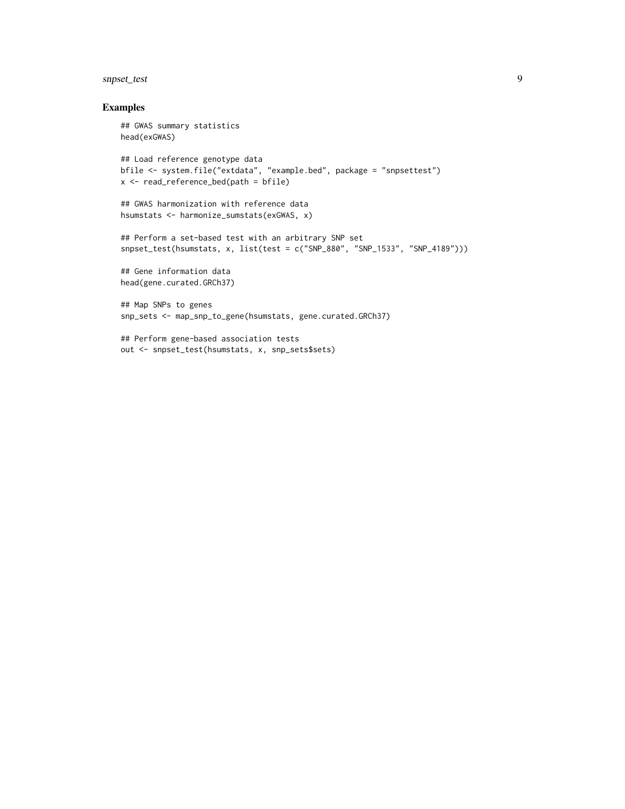#### snpset\_test 9

#### Examples

```
## GWAS summary statistics
head(exGWAS)
## Load reference genotype data
bfile <- system.file("extdata", "example.bed", package = "snpsettest")
x <- read_reference_bed(path = bfile)
## GWAS harmonization with reference data
hsumstats <- harmonize_sumstats(exGWAS, x)
## Perform a set-based test with an arbitrary SNP set
snpset_test(hsumstats, x, list(test = c("SNP_880", "SNP_1533", "SNP_4189")))
## Gene information data
head(gene.curated.GRCh37)
## Map SNPs to genes
snp_sets <- map_snp_to_gene(hsumstats, gene.curated.GRCh37)
## Perform gene-based association tests
```
out <- snpset\_test(hsumstats, x, snp\_sets\$sets)